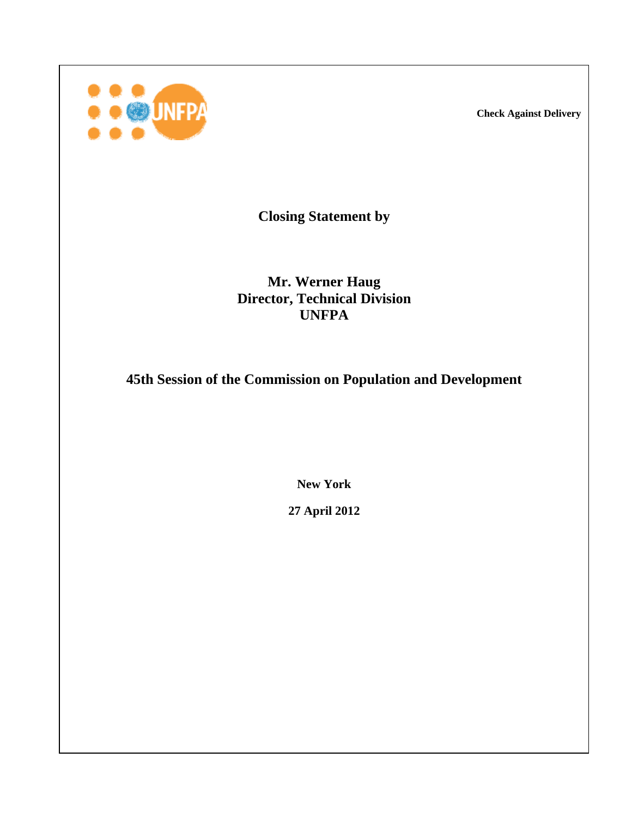**Check Against Delivery** 



**Closing Statement by** 

**Mr. Werner Haug Director, Technical Division UNFPA** 

**45th Session of the Commission on Population and Development**

**New York** 

**27 April 2012**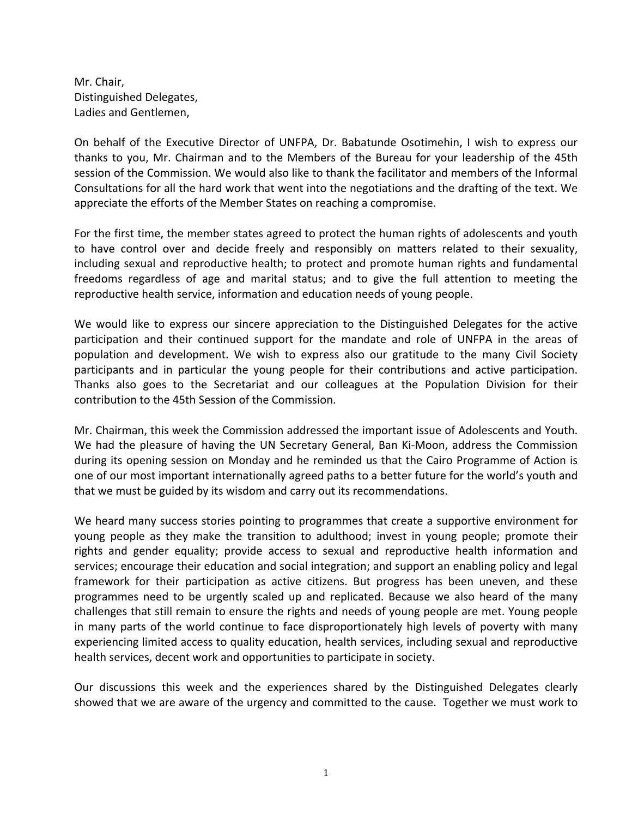Mr. Chair, Distinguished Delegates, Ladies and Gentlemen,

On behalf of the Executive Director of UNFPA, Dr. Babatunde Osotimehin, I wish to express our thanks to you, Mr. Chairman and to the Members of the Bureau for your leadership of the 45th session of the Commission. We would also like to thank the facilitator and members of the Informal Consultations for all the hard work that went into the negotiations and the drafting of the text. We appreciate the efforts of the Member States on reaching a compromise.

For the first time, the member states agreed to protect the human rights of adolescents and youth to have control over and decide freely and responsibly on matters related to their sexuality, including sexual and reproductive health; to protect and promote human rights and fundamental freedoms regardless of age and marital status; and to give the full attention to meeting the reproductive health service, information and education needs of young people.

We would like to express our sincere appreciation to the Distinguished Delegates for the active participation and their continued support for the mandate and role of UNFPA in the areas of population and development. We wish to express also our gratitude to the many Civil Society participants and in particular the young people for their contributions and active participation. Thanks also goes to the Secretariat and our colleagues at the Population Division for their contribution to the 45th Session of the Commission.

Mr. Chairman, this week the Commission addressed the important issue of Adolescents and Youth. We had the pleasure of having the UN Secretary General, Ban Ki‐Moon, address the Commission during its opening session on Monday and he reminded us that the Cairo Programme of Action is one of our most important internationally agreed paths to a better future for the world's youth and that we must be guided by its wisdom and carry out its recommendations.

We heard many success stories pointing to programmes that create a supportive environment for young people as they make the transition to adulthood; invest in young people; promote their rights and gender equality; provide access to sexual and reproductive health information and services; encourage their education and social integration; and support an enabling policy and legal framework for their participation as active citizens. But progress has been uneven, and these programmes need to be urgently scaled up and replicated. Because we also heard of the many challenges that still remain to ensure the rights and needs of young people are met. Young people in many parts of the world continue to face disproportionately high levels of poverty with many experiencing limited access to quality education, health services, including sexual and reproductive health services, decent work and opportunities to participate in society.

Our discussions this week and the experiences shared by the Distinguished Delegates clearly showed that we are aware of the urgency and committed to the cause. Together we must work to